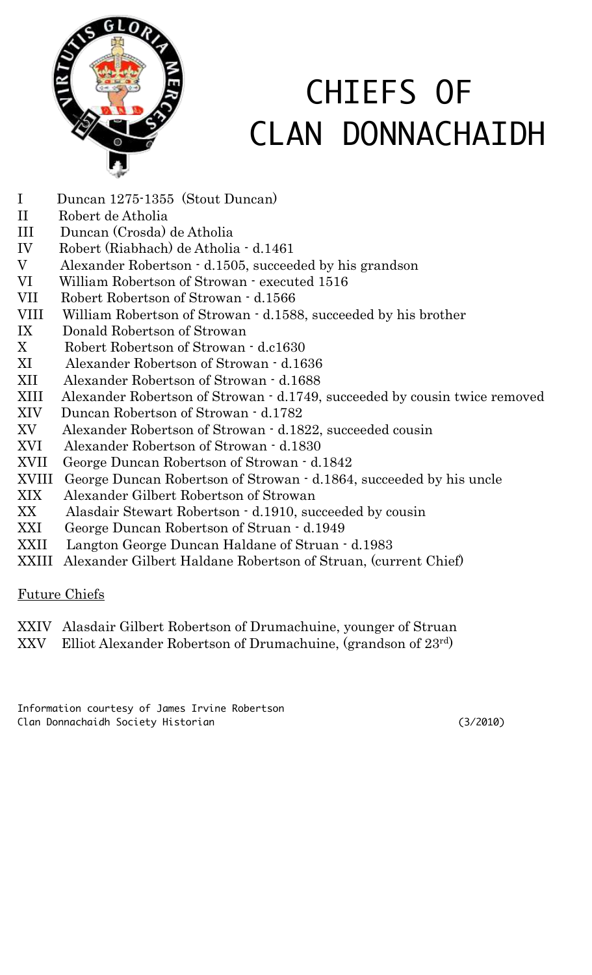

## CHIEFS OF CLAN DONNACHAIDH

- I Duncan 1275-1355 (Stout Duncan)
- II Robert de Atholia
- III Duncan (Crosda) de Atholia
- IV Robert (Riabhach) de Atholia d.1461
- V Alexander Robertson d.1505, succeeded by his grandson
- VI William Robertson of Strowan executed 1516
- VII Robert Robertson of Strowan d.1566
- VIII William Robertson of Strowan d.1588, succeeded by his brother
- IX Donald Robertson of Strowan
- X Robert Robertson of Strowan d.c1630
- XI Alexander Robertson of Strowan d.1636
- XII Alexander Robertson of Strowan d.1688
- XIII Alexander Robertson of Strowan d.1749, succeeded by cousin twice removed
- XIV Duncan Robertson of Strowan d.1782
- XV Alexander Robertson of Strowan d.1822, succeeded cousin
- XVI Alexander Robertson of Strowan d.1830
- XVII George Duncan Robertson of Strowan d.1842
- XVIII George Duncan Robertson of Strowan d.1864, succeeded by his uncle
- XIX Alexander Gilbert Robertson of Strowan
- XX Alasdair Stewart Robertson d.1910, succeeded by cousin
- XXI George Duncan Robertson of Struan d.1949
- XXII Langton George Duncan Haldane of Struan d.1983
- XXIII Alexander Gilbert Haldane Robertson of Struan, (current Chief)

## Future Chiefs

## XXIV Alasdair Gilbert Robertson of Drumachuine, younger of Struan

XXV Elliot Alexander Robertson of Drumachuine, (grandson of 23rd)